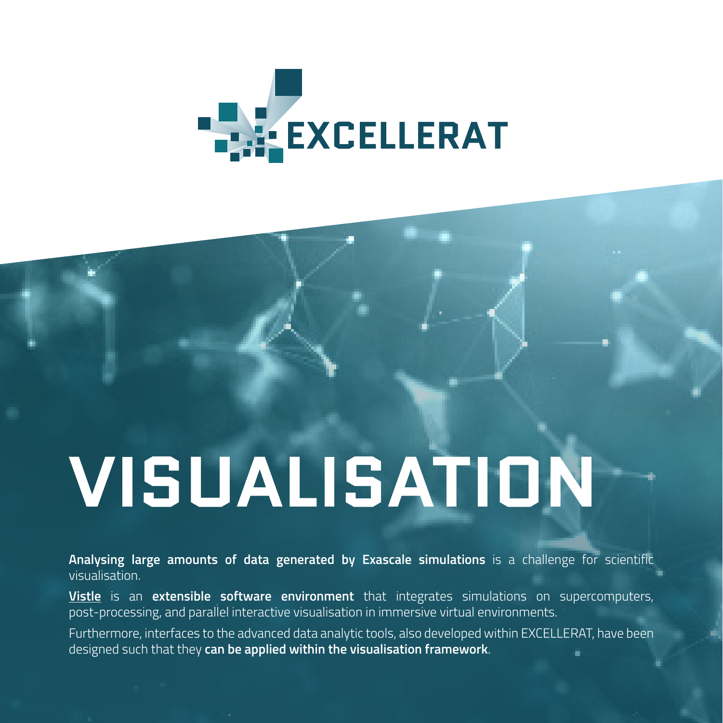

# VISUALISATION

**Analysing large amounts of data generated by Exascale simulations** is a challenge for scientific visualisation.

**[Vistle](https://services.excellerat.eu/viewcode/2)** is an **extensible software environment** that integrates simulations on supercomputers, post-processing, and parallel interactive visualisation in immersive virtual environments.

Furthermore, interfaces to the advanced data analytic tools, also developed within EXCELLERAT, have been designed such that they **can be applied within the visualisation framework**.